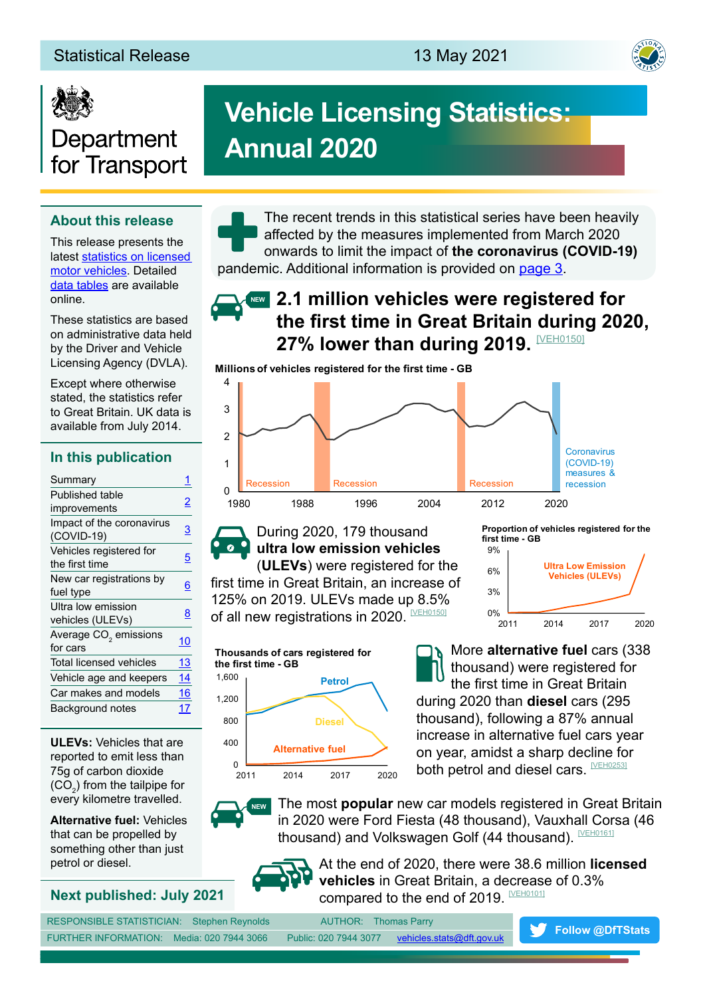



# **Vehicle Licensing Statistics: Annual 2020**

### **About this release**

This release presents the latest statistics on licensed [motor vehicles](https://www.gov.uk/government/collections/vehicles-statistics). Detailed [data tables](https://www.gov.uk/government/statistical-data-sets/vehicles-statistical-tables-index) are available online.

These statistics are based on administrative data held by the Driver and Vehicle Licensing Agency (DVLA).

Except where otherwise stated, the statistics refer to Great Britain. UK data is available from July 2014.

#### **In this publication**

| Summary                                       |            |
|-----------------------------------------------|------------|
| Published table<br>improvements               | 2          |
| Impact of the coronavirus<br>(COVID-19)       | 3          |
| Vehicles registered for<br>the first time     | 5          |
| New car registrations by<br>fuel type         | 6          |
| Ultra low emission<br>vehicles (ULEVs)        | 8          |
| Average CO <sub>2</sub> emissions<br>for cars | 10         |
| Total licensed vehicles                       | 13         |
| Vehicle age and keepers                       | 14         |
| Car makes and models                          | <u> 16</u> |
| Background notes                              | 17         |
|                                               |            |

**ULEVs:** Vehicles that are reported to emit less than 75g of carbon dioxide (CO $_{2}$ ) from the tailpipe for every kilometre travelled.

**Alternative fuel:** Vehicles that can be propelled by something other than just petrol or diesel.

# **Next published: July 2021**

The recent trends in this statistical series have been heavily afected by the measures implemented from March 2020 onwards to limit the impact of **the coronavirus (COVID-19)** pandemic. Additional information is provided on [page](#page-2-0) 3.

# **2.1 million vehicles were registered for NEW the frst time in Great Britain during 2020, 27% lower than during 2019. MEHO150]**

**Millions of vehicles registered for the first time - GB**







**Proportion of vehicles registered for the first time - GB**

| 9%   |      |                                                      |      |
|------|------|------------------------------------------------------|------|
| 6%   |      | <b>Ultra Low Emission</b><br><b>Vehicles (ULEVs)</b> |      |
| 3%   |      |                                                      |      |
| 0%   |      |                                                      |      |
| 2011 | 2014 | 2017                                                 | 2020 |

More **alternative fuel** cars (338 thousand) were registered for the first time in Great Britain during 2020 than **diesel** cars (295 thousand), following a 87% annual increase in alternative fuel cars year on year, amidst a sharp decline for  $\frac{1}{2011}$   $\frac{1}{2014}$   $\frac{2017}{2020}$  both petrol and diesel cars.  $\frac{[V \to H(0.253)]}{2011}$ 



The most **popular** new car models registered in Great Britain in 2020 were Ford Fiesta (48 thousand), Vauxhall Corsa (46 thousand) and Volkswagen Golf (44 thousand). [NEHO161]



RESPONSIBLE STATISTICIAN: Stephen Reynolds AUTHOR: Thomas Parry FURTHER INFORMATION: Media: 020 7944 3066 Public: 020 7944 3077 [vehicles.stats@dft.gov.uk](mailto:vehicles.stats%40dft.gov.uk?subject=)

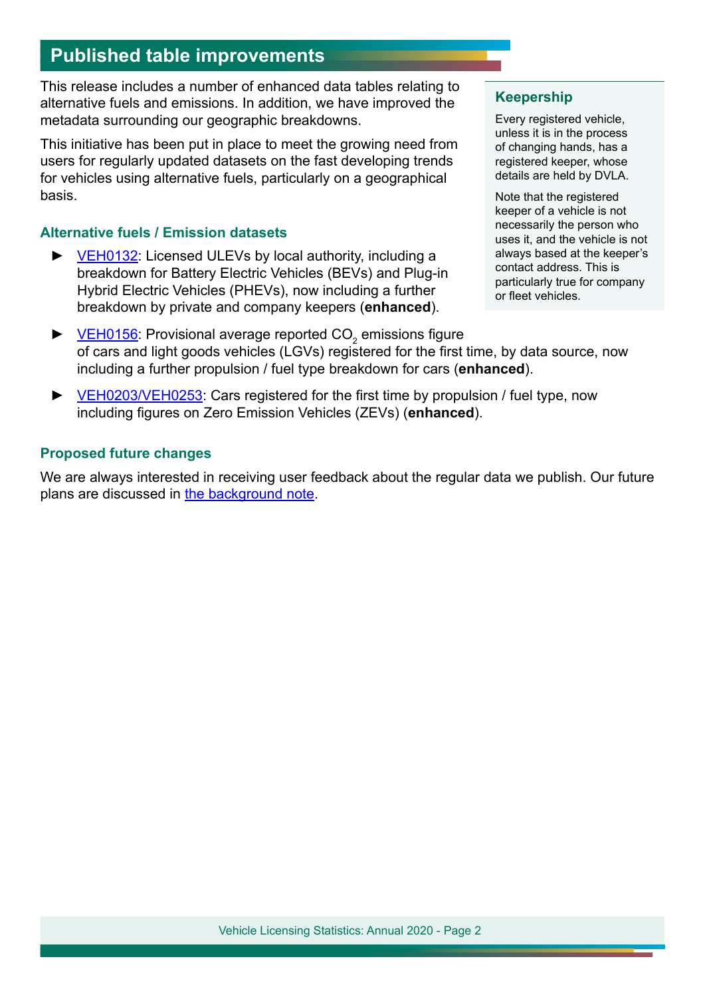# <span id="page-1-0"></span>**Published table improvements**

This release includes a number of enhanced data tables relating to alternative fuels and emissions. In addition, we have improved the metadata surrounding our geographic breakdowns.

This initiative has been put in place to meet the growing need from users for regularly updated datasets on the fast developing trends for vehicles using alternative fuels, particularly on a geographical basis.

### **Alternative fuels / Emission datasets**

[VEH0132:](https://www.gov.uk/government/statistical-data-sets/all-vehicles-veh01#ultra-low-emissions-vehicles-ulevs) Licensed ULEVs by local authority, including a breakdown for Battery Electric Vehicles (BEVs) and Plug-in Hybrid Electric Vehicles (PHEVs), now including a further breakdown by private and company keepers (**enhanced**).

#### **Keepership**

Every registered vehicle, unless it is in the process of changing hands, has a registered keeper, whose details are held by DVLA.

Note that the registered keeper of a vehicle is not necessarily the person who uses it, and the vehicle is not always based at the keeper's contact address. This is particularly true for company or fleet vehicles.

- $\blacktriangleright$  [VEH0156:](https://www.gov.uk/government/statistical-data-sets/all-vehicles-veh01#registered-for-the-first-time) Provisional average reported CO<sub>2</sub> emissions figure of cars and light goods vehicles (LGVs) registered for the frst time, by data source, now including a further propulsion / fuel type breakdown for cars (**enhanced**).
- ► [VEH0203/VEH0253](https://www.gov.uk/government/statistical-data-sets/veh02-licensed-cars): Cars registered for the frst time by propulsion / fuel type, now including fgures on Zero Emission Vehicles (ZEVs) (**enhanced**).

#### **Proposed future changes**

We are always interested in receiving user feedback about the regular data we publish. Our future plans are discussed in [the background note.](#page-16-0)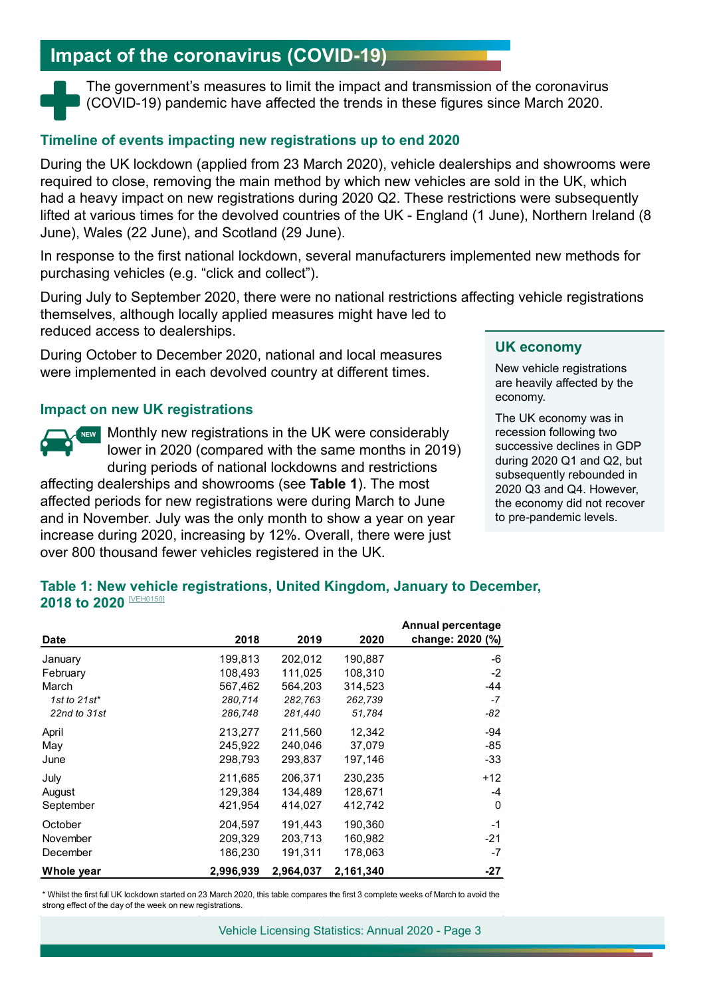# <span id="page-2-0"></span>**Impact of the coronavirus (COVID-19)**

The government's measures to limit the impact and transmission of the coronavirus (COVID-19) pandemic have afected the trends in these fgures since March 2020.

### **Timeline of events impacting new registrations up to end 2020**

During the UK lockdown (applied from 23 March 2020), vehicle dealerships and showrooms were required to close, removing the main method by which new vehicles are sold in the UK, which had a heavy impact on new registrations during 2020 Q2. These restrictions were subsequently lifted at various times for the devolved countries of the UK - England (1 June), Northern Ireland (8 June), Wales (22 June), and Scotland (29 June).

In response to the frst national lockdown, several manufacturers implemented new methods for purchasing vehicles (e.g. "click and collect").

During July to September 2020, there were no national restrictions afecting vehicle registrations themselves, although locally applied measures might have led to reduced access to dealerships.

During October to December 2020, national and local measures were implemented in each devolved country at diferent times.

#### **Impact on new UK registrations**

**MONTHLAU** is a mear that in the UK were considerably and  $\mathbf{M}$ lower in 2020 (compared with the same months in 2019) during periods of national lockdowns and restrictions

afecting dealerships and showrooms (see **Table 1**). The most afected periods for new registrations were during March to June and in November. July was the only month to show a year on year increase during 2020, increasing by 12%. Overall, there were just over 800 thousand fewer vehicles registered in the UK.

#### **UK economy**

New vehicle registrations are heavily afected by the economy.

The UK economy was in recession following two successive declines in GDP during 2020 Q1 and Q2, but subsequently rebounded in 2020 Q3 and Q4. However, the economy did not recover to pre-pandemic levels.

#### **Table 1: New vehicle registrations, United Kingdom, January to December, 2018 to 2020 MEH0150**

|                |           |           |           | <b>Annual percentage</b> |
|----------------|-----------|-----------|-----------|--------------------------|
| <b>Date</b>    | 2018      | 2019      | 2020      | change: 2020 (%)         |
| January        | 199,813   | 202,012   | 190,887   | -6                       |
| February       | 108,493   | 111,025   | 108,310   | $-2$                     |
| March          | 567,462   | 564,203   | 314,523   | -44                      |
| 1st to $21st*$ | 280,714   | 282,763   | 262,739   | $-7$                     |
| 22nd to 31st   | 286,748   | 281,440   | 51,784    | -82                      |
| April          | 213,277   | 211,560   | 12,342    | -94                      |
| May            | 245.922   | 240,046   | 37.079    | -85                      |
| June           | 298,793   | 293,837   | 197,146   | -33                      |
| July           | 211.685   | 206.371   | 230,235   | $+12$                    |
| August         | 129,384   | 134,489   | 128,671   | -4                       |
| September      | 421,954   | 414,027   | 412,742   | $\Omega$                 |
| October        | 204,597   | 191,443   | 190,360   | -1                       |
| November       | 209,329   | 203,713   | 160,982   | $-21$                    |
| December       | 186,230   | 191,311   | 178,063   | $-7$                     |
| Whole year     | 2,996,939 | 2,964,037 | 2,161,340 | $-27$                    |

\* Whilst the first full UK lockdown started on 23 March 2020, this table compares the first 3 complete weeks of March to avoid the strong effect of the day of the week on new registrations.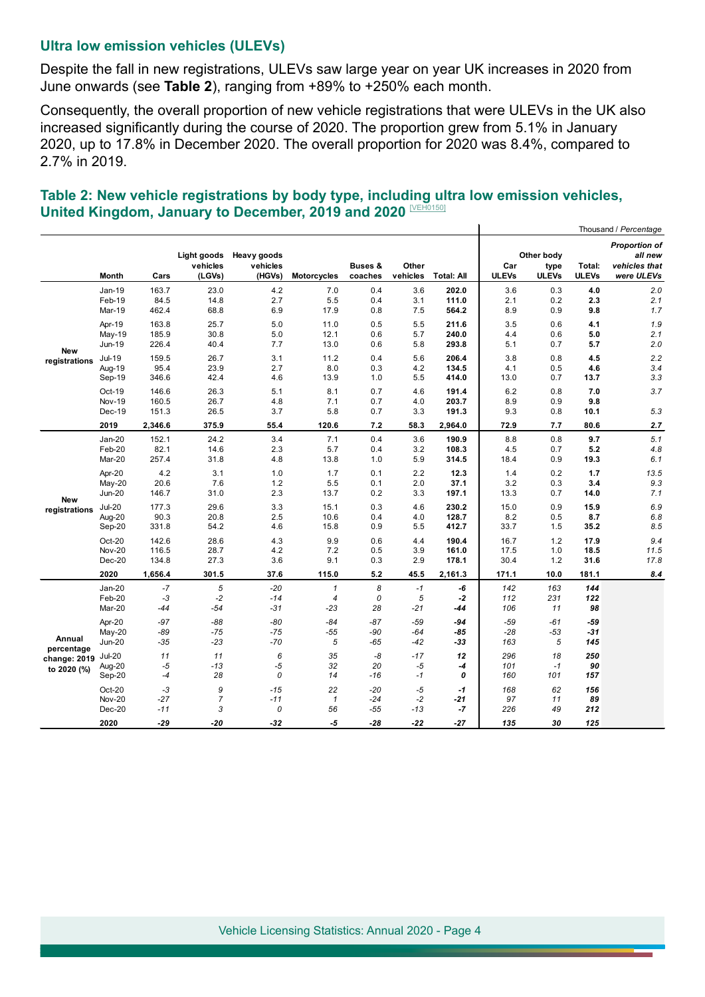#### **Ultra low emission vehicles (ULEVs)**

Despite the fall in new registrations, ULEVs saw large year on year UK increases in 2020 from June onwards (see **Table 2**), ranging from +89% to +250% each month.

Consequently, the overall proportion of new vehicle registrations that were ULEVs in the UK also increased signifcantly during the course of 2020. The proportion grew from 5.1% in January 2020, up to 17.8% in December 2020. The overall proportion for 2020 was 8.4%, compared to 2.7% in 2019.

|               |                         |               |                     |                                               |                    |                               |                   |                   |                     |                                    |                        | Thousand / Percentage                                   |
|---------------|-------------------------|---------------|---------------------|-----------------------------------------------|--------------------|-------------------------------|-------------------|-------------------|---------------------|------------------------------------|------------------------|---------------------------------------------------------|
|               | Month                   | Cars          | vehicles<br>(LGVs)  | Light goods Heavy goods<br>vehicles<br>(HGVs) | <b>Motorcycles</b> | <b>Buses &amp;</b><br>coaches | Other<br>vehicles | <b>Total: All</b> | Car<br><b>ULEVs</b> | Other body<br>type<br><b>ULEVs</b> | Total:<br><b>ULEVs</b> | Proportion of<br>all new<br>vehicles that<br>were ULEVs |
|               | Jan-19                  | 163.7         | 23.0                | 4.2                                           | 7.0                | 0.4                           | 3.6               | 202.0             | 3.6                 | 0.3                                | 4.0                    | 2.0                                                     |
|               | Feb-19                  | 84.5          | 14.8                | 2.7                                           | 5.5                | 0.4                           | 3.1               | 111.0             | 2.1                 | 0.2                                | 2.3                    | 2.1                                                     |
|               | Mar-19                  | 462.4         | 68.8                | 6.9                                           | 17.9               | 0.8                           | 7.5               | 564.2             | 8.9                 | 0.9                                | 9.8                    | 1.7                                                     |
|               |                         | 163.8         | 25.7                | 5.0                                           | 11.0               | 0.5                           | 5.5               | 211.6             | 3.5                 | 0.6                                | 4.1                    |                                                         |
|               | Apr-19                  | 185.9         | 30.8                | 5.0                                           | 12.1               | 0.6                           | 5.7               | 240.0             | 4.4                 | 0.6                                | 5.0                    | 1.9<br>2.1                                              |
|               | May-19<br>Jun-19        | 226.4         | 40.4                | 7.7                                           | 13.0               | 0.6                           | 5.8               | 293.8             | 5.1                 | 0.7                                | 5.7                    | 2.0                                                     |
| <b>New</b>    |                         |               |                     |                                               |                    |                               |                   |                   |                     |                                    |                        |                                                         |
| registrations | Jul-19                  | 159.5         | 26.7                | 3.1                                           | 11.2               | 0.4                           | 5.6               | 206.4             | 3.8                 | 0.8                                | 4.5                    | 2.2                                                     |
|               | Aug-19                  | 95.4          | 23.9                | 2.7                                           | 8.0                | 0.3                           | 4.2               | 134.5             | 4.1                 | 0.5                                | 4.6                    | 3.4                                                     |
|               | Sep-19                  | 346.6         | 42.4                | 4.6                                           | 13.9               | 1.0                           | 5.5               | 414.0             | 13.0                | 0.7                                | 13.7                   | 3.3                                                     |
|               | Oct-19                  | 146.6         | 26.3                | 5.1                                           | 8.1                | 0.7                           | 4.6               | 191.4             | 6.2                 | 0.8                                | 7.0                    | 3.7                                                     |
|               | <b>Nov-19</b>           | 160.5         | 26.7                | 4.8                                           | 7.1                | 0.7                           | 4.0               | 203.7             | 8.9                 | 0.9                                | 9.8                    |                                                         |
|               | Dec-19                  | 151.3         | 26.5                | 3.7                                           | 5.8                | 0.7                           | 3.3               | 191.3             | 9.3                 | 0.8                                | 10.1                   | 5.3                                                     |
|               | 2019                    | 2,346.6       | 375.9               | 55.4                                          | 120.6              | 7.2                           | 58.3              | 2,964.0           | 72.9                | 7.7                                | 80.6                   | 2.7                                                     |
|               | Jan-20                  | 152.1         | 24.2                | 3.4                                           | 7.1                | 0.4                           | 3.6               | 190.9             | 8.8                 | 0.8                                | 9.7                    | 5.1                                                     |
|               | Feb-20                  | 82.1          | 14.6                | 2.3                                           | 5.7                | 0.4                           | 3.2               | 108.3             | 4.5                 | 0.7                                | 5.2                    | 4.8                                                     |
|               | Mar-20                  | 257.4         | 31.8                | 4.8                                           | 13.8               | 1.0                           | 5.9               | 314.5             | 18.4                | 0.9                                | 19.3                   | 6.1                                                     |
|               | Apr-20                  | 4.2           | 3.1                 | 1.0                                           | 1.7                | 0.1                           | 2.2               | 12.3              | 1.4                 | 0.2                                | 1.7                    | 13.5                                                    |
|               | $May-20$                | 20.6          | 7.6                 | 1.2                                           | 5.5                | 0.1                           | 2.0               | 37.1              | 3.2                 | 0.3                                | 3.4                    | 9.3                                                     |
|               | <b>Jun-20</b>           | 146.7         | 31.0                | 2.3                                           | 13.7               | 0.2                           | 3.3               | 197.1             | 13.3                | 0.7                                | 14.0                   | 7.1                                                     |
| New           |                         |               |                     |                                               |                    |                               |                   |                   |                     |                                    |                        |                                                         |
| registrations | <b>Jul-20</b><br>Aug-20 | 177.3<br>90.3 | 29.6<br>20.8        | 3.3<br>2.5                                    | 15.1<br>10.6       | 0.3<br>0.4                    | 4.6<br>4.0        | 230.2<br>128.7    | 15.0<br>8.2         | 0.9<br>0.5                         | 15.9<br>8.7            | 6.9<br>6.8                                              |
|               | Sep-20                  | 331.8         | 54.2                | 4.6                                           | 15.8               | 0.9                           | 5.5               | 412.7             | 33.7                | 1.5                                | 35.2                   | 8.5                                                     |
|               |                         |               |                     |                                               |                    |                               |                   |                   |                     |                                    |                        |                                                         |
|               | $Oct-20$                | 142.6         | 28.6                | 4.3                                           | 9.9                | 0.6                           | 4.4               | 190.4             | 16.7                | 1.2                                | 17.9                   | 9.4                                                     |
|               | <b>Nov-20</b>           | 116.5         | 28.7                | 4.2                                           | 7.2                | 0.5                           | 3.9               | 161.0             | 17.5                | 1.0                                | 18.5                   | 11.5                                                    |
|               | Dec-20                  | 134.8         | 27.3                | 3.6                                           | 9.1                | 0.3                           | 2.9               | 178.1             | 30.4                | 1.2                                | 31.6                   | 17.8                                                    |
|               | 2020                    | 1,656.4       | 301.5               | 37.6                                          | 115.0              | 5.2                           | 45.5              | 2,161.3           | 171.1               | 10.0                               | 181.1                  | 8.4                                                     |
|               | <b>Jan-20</b>           | $-7$          | $\sqrt{5}$          | $-20$                                         | $\mathbf{1}$       | 8                             | $-1$              | -6                | 142                 | 163                                | 144                    |                                                         |
|               | Feb-20                  | -3            | $-2$                | $-14$                                         | $\overline{4}$     | 0                             | $\sqrt{5}$        | $-2$              | 112                 | 231                                | 122                    |                                                         |
|               | Mar-20                  | $-44$         | $-54$               | $-31$                                         | $-23$              | 28                            | $-21$             | -44               | 106                 | 11                                 | 98                     |                                                         |
|               | Apr-20                  | $-97$         | $-88$               | $-80$                                         | $-84$              | $-87$                         | $-59$             | $-94$             | $-59$               | $-61$                              | $-59$                  |                                                         |
|               | $May-20$                | $-89$         | $-75$               | $-75$                                         | $-55$              | -90                           | $-64$             | -85               | $-28$               | $-53$                              | $-31$                  |                                                         |
| Annual        | <b>Jun-20</b>           | $-35$         | $-23$               | $-70$                                         | 5                  | -65                           | -42               | $-33$             | 163                 | 5                                  | 145                    |                                                         |
| percentage    | <b>Jul-20</b>           | 11            | 11                  | 6                                             | 35                 | -8                            | $-17$             | 12                | 296                 | 18                                 | 250                    |                                                         |
| change: 2019  | Aug-20                  | $-5$          | $-13$               | $-5$                                          | 32                 | 20                            | $-5$              | -4                | 101                 | $-1$                               | 90                     |                                                         |
| to 2020 (%)   | Sep-20                  | -4            | 28                  | 0                                             | 14                 | $-16$                         | $-1$              | 0                 | 160                 | 101                                | 157                    |                                                         |
|               |                         |               |                     |                                               |                    |                               |                   |                   |                     |                                    |                        |                                                         |
|               | Oct-20<br><b>Nov-20</b> | $-3$<br>$-27$ | 9<br>$\overline{7}$ | $-15$<br>$-11$                                | 22<br>$\mathbf{1}$ | $-20$<br>$-24$                | $-5$<br>$-2$      | -1<br>$-21$       | 168<br>97           | 62<br>11                           | 156<br>89              |                                                         |
|               | $Dec-20$                | $-11$         | 3                   | 0                                             | 56                 | $-55$                         | $-13$             | $-7$              | 226                 | 49                                 | 212                    |                                                         |
|               |                         |               |                     |                                               |                    |                               |                   |                   |                     |                                    |                        |                                                         |
|               | 2020                    | -29           | $-20$               | $-32$                                         | -5                 | -28                           | -22               | $-27$             | 135                 | 30                                 | 125                    |                                                         |

### **Table 2: New vehicle registrations by body type, including ultra low emission vehicles,**  United Kingdom, January to December, 2019 and 2020 MEHO150]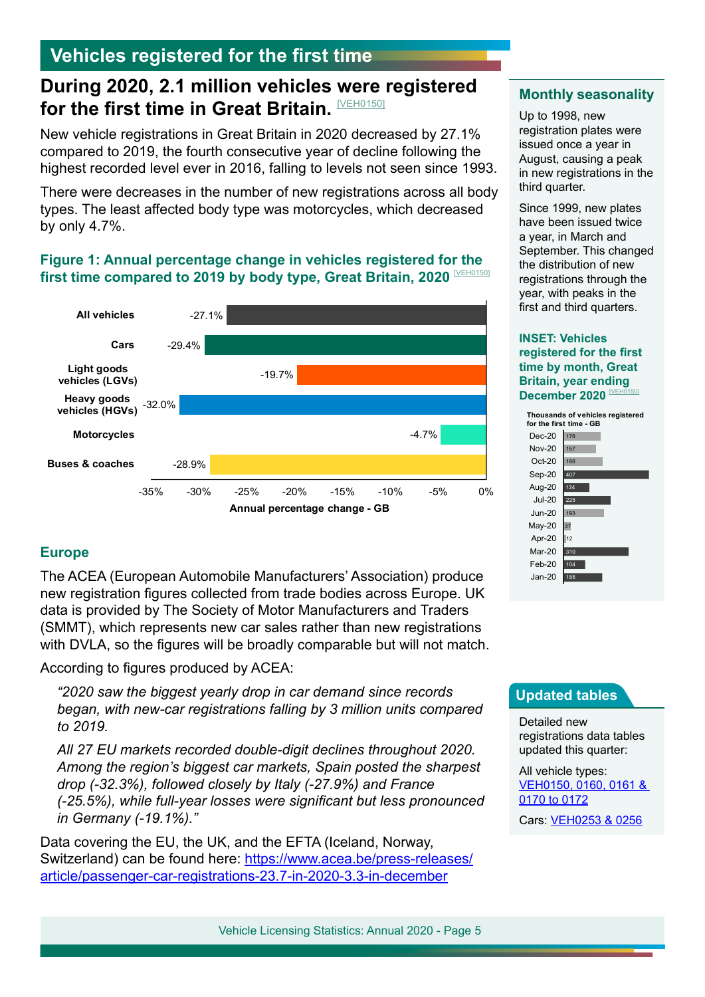# <span id="page-4-0"></span>**Vehicles registered for the frst time**

# **During 2020, 2.1 million vehicles were registered**  for the first time in Great Britain. **MEH0150**

New vehicle registrations in Great Britain in 2020 decreased by 27.1% compared to 2019, the fourth consecutive year of decline following the highest recorded level ever in 2016, falling to levels not seen since 1993.

There were decreases in the number of new registrations across all body types. The least afected body type was motorcycles, which decreased by only 4.7%.

# **Figure 1: Annual percentage change in vehicles registered for the**  first time compared to 2019 by body type, Great Britain, 2020 MEHO150]



# **Monthly seasonality**

Up to 1998, new registration plates were issued once a year in August, causing a peak in new registrations in the third quarter.

Since 1999, new plates have been issued twice a year, in March and September. This changed the distribution of new registrations through the year, with peaks in the first and third quarters.

**INSET: Vehicles registered for the frst time by month, Great Britain, year ending**  December 2020<sup>ME</sup>



# **Europe**

The ACEA (European Automobile Manufacturers' Association) produce new registration figures collected from trade bodies across Europe. UK data is provided by The Society of Motor Manufacturers and Traders (SMMT), which represents new car sales rather than new registrations with DVLA, so the figures will be broadly comparable but will not match.

According to figures produced by ACEA:

*"2020 saw the biggest yearly drop in car demand since records began, with new-car registrations falling by 3 million units compared to 2019.*

*All 27 EU markets recorded double-digit declines throughout 2020. Among the region's biggest car markets, Spain posted the sharpest drop (-32.3%), followed closely by Italy (-27.9%) and France (-25.5%), while full-year losses were signifcant but less pronounced in Germany (-19.1%)."*

Data covering the EU, the UK, and the EFTA (Iceland, Norway, Switzerland) can be found here: [https://www.acea.be/press-releases/](https://www.acea.be/press-releases/article/passenger-car-registrations-23.7-in-2020-3.3-in-december) [article/passenger-car-registrations-23.7-in-2020-3.3-in-december](https://www.acea.be/press-releases/article/passenger-car-registrations-23.7-in-2020-3.3-in-december)

# **Updated tables**

Detailed new registrations data tables updated this quarter:

All vehicle types: [VEH0150, 0160, 0161 &](https://www.gov.uk/government/statistical-data-sets/all-vehicles-veh01)  [0170 to 0172](https://www.gov.uk/government/statistical-data-sets/all-vehicles-veh01)

Cars: [VEH0253 & 0256](https://www.gov.uk/government/statistical-data-sets/veh02-licensed-cars#registered-for-the-first-time)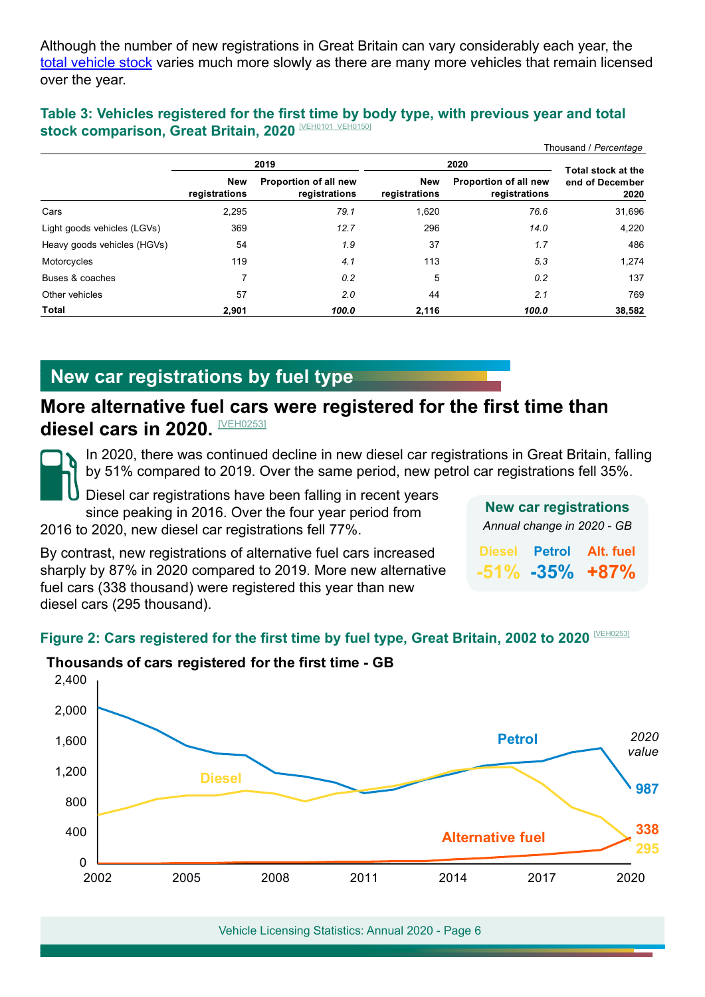<span id="page-5-0"></span>Although the number of new registrations in Great Britain can vary considerably each year, the [total vehicle stock](#page-12-0) varies much more slowly as there are many more vehicles that remain licensed over the year.

#### Table 3: Vehicles registered for the first time by body type, with previous year and total **stock comparison, Great Britain, 2020 MEHO**

|                             |                      |                                        |                      |                                        | Thousand / Percentage   |
|-----------------------------|----------------------|----------------------------------------|----------------------|----------------------------------------|-------------------------|
|                             | 2019                 |                                        |                      | 2020                                   | Total stock at the      |
|                             | New<br>registrations | Proportion of all new<br>registrations | New<br>registrations | Proportion of all new<br>registrations | end of December<br>2020 |
| Cars                        | 2,295                | 79.1                                   | 1,620                | 76.6                                   | 31,696                  |
| Light goods vehicles (LGVs) | 369                  | 12.7                                   | 296                  | 14.0                                   | 4,220                   |
| Heavy goods vehicles (HGVs) | 54                   | 1.9                                    | 37                   | 1.7                                    | 486                     |
| Motorcycles                 | 119                  | 4.1                                    | 113                  | 5.3                                    | 1,274                   |
| Buses & coaches             |                      | 0.2                                    | 5                    | 0.2                                    | 137                     |
| Other vehicles              | 57                   | 2.0                                    | 44                   | 2.1                                    | 769                     |
| Total                       | 2,901                | 100.0                                  | 2,116                | 100.0                                  | 38,582                  |

# **New car registrations by fuel type**

# **More alternative fuel cars were registered for the first time than diesel cars in 2020.** [\[VEH0253\]](https://www.gov.uk/government/statistical-data-sets/veh02-licensed-cars#registered-for-the-first-time)

In 2020, there was continued decline in new diesel car registrations in Great Britain, falling by 51% compared to 2019. Over the same period, new petrol car registrations fell 35%.

Diesel car registrations have been falling in recent years since peaking in 2016. Over the four year period from 2016 to 2020, new diesel car registrations fell 77%.

| 2016 to 2020, new diesel car registrations fell 77%.              |  | Annual change in 2020 - GB |
|-------------------------------------------------------------------|--|----------------------------|
| By contrast, new registrations of alternative fuel cars increased |  | Diesel Petrol Alt. fuel    |
| sharply by 87% in 2020 compared to 2019. More new alternative     |  | $-51\% -35\% +87\%$        |
| fuel cars (338 thousand) were registered this year than new       |  |                            |

**New car registrations**

sharply by 87% in 2020 compared to 2019. Mo fuel cars (338 thousand) were registered this year than new diesel cars (295 thousand).

### Figure 2: Cars registered for the first time by fuel type, Great Britain, 2002 to 2020 **MEH0253**



# **Thousands of cars registered for the first time - GB**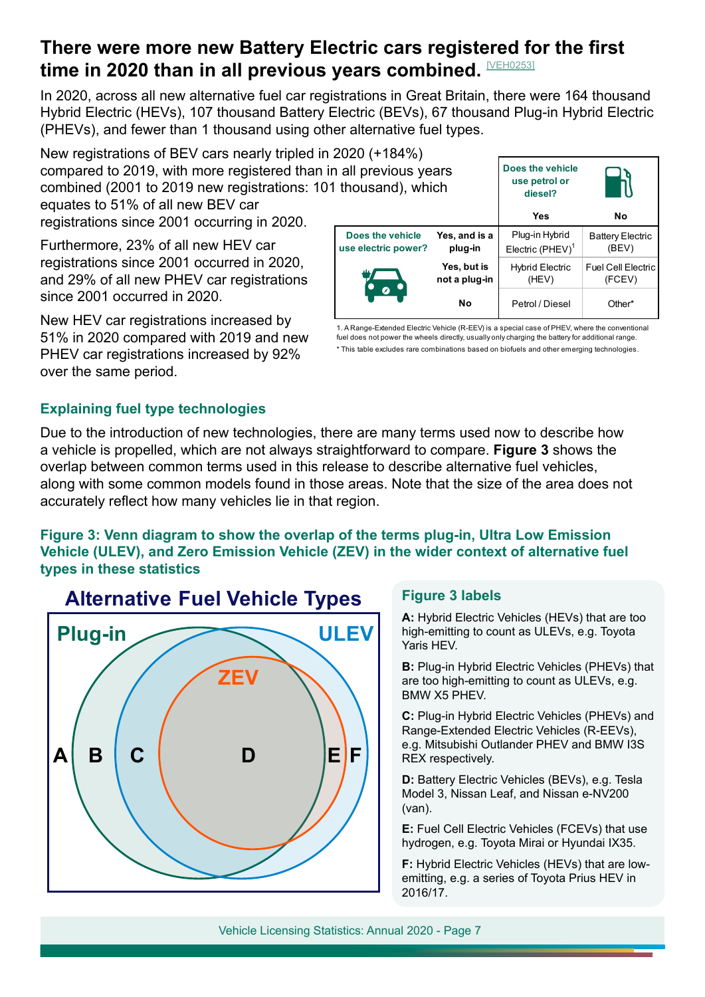# **There were more new Battery Electric cars registered for the frst**  time in 2020 than in all previous years combined. **MEH0253**

In 2020, across all new alternative fuel car registrations in Great Britain, there were 164 thousand Hybrid Electric (HEVs), 107 thousand Battery Electric (BEVs), 67 thousand Plug-in Hybrid Electric (PHEVs), and fewer than 1 thousand using other alternative fuel types.

New registrations of BEV cars nearly tripled in 2020 (+184%) compared to 2019, with more registered than in combined (2001 to 2019 new registrations: 101 equates to 51% of all new BEV car registrations since 2001 occurring in 2020.

Furthermore, 23% of all new HEV car registrations since 2001 occurred in 2020, and 29% of all new PHEV car registrations since 2001 occurred in 2020.

New HEV car registrations increased by 51% in 2020 compared with 2019 and new PHEV car registrations increased by 92% over the same period.

| 2020(7104/0)<br>n all previous years<br>1 thousand), which |                              | Does the vehicle<br>use petrol or<br>diesel? |                                     |
|------------------------------------------------------------|------------------------------|----------------------------------------------|-------------------------------------|
|                                                            |                              | Yes                                          | No                                  |
| Does the vehicle<br>use electric power?                    | Yes, and is a<br>plug-in     | Plug-in Hybrid<br>Electric $(PHEV)^1$        | <b>Battery Electric</b><br>(BEV)    |
|                                                            | Yes, but is<br>not a plug-in | Hybrid Electric<br>(HEV)                     | <b>Fuel Cell Electric</b><br>(FCEV) |
|                                                            | No                           | Petrol / Diesel                              | Other*                              |

1. A Range-Extended Electric Vehicle (R-EEV) is a special case of PHEV, where the conventional fuel does not power the wheels directly, usually only charging the battery for additional range \* This table excludes rare combinations based on biofuels and other emerging technologies.

### **Explaining fuel type technologies**

Due to the introduction of new technologies, there are many terms used now to describe how a vehicle is propelled, which are not always straightforward to compare. **Figure 3** shows the overlap between common terms used in this release to describe alternative fuel vehicles, along with some common models found in those areas. Note that the size of the area does not accurately refect how many vehicles lie in that region.

### **Figure 3: Venn diagram to show the overlap of the terms plug-in, Ultra Low Emission Vehicle (ULEV), and Zero Emission Vehicle (ZEV) in the wider context of alternative fuel types in these statistics**



### **Figure 3 labels**

**A:** Hybrid Electric Vehicles (HEVs) that are too high-emitting to count as ULEVs, e.g. Toyota Yaris HEV.

**B:** Plug-in Hybrid Electric Vehicles (PHEVs) that are too high-emitting to count as ULEVs, e.g. BMW X5 PHEV.

**C:** Plug-in Hybrid Electric Vehicles (PHEVs) and Range-Extended Electric Vehicles (R-EEVs), e.g. Mitsubishi Outlander PHEV and BMW I3S REX respectively.

**D:** Battery Electric Vehicles (BEVs), e.g. Tesla Model 3, Nissan Leaf, and Nissan e-NV200 (van).

**E:** Fuel Cell Electric Vehicles (FCEVs) that use hydrogen, e.g. Toyota Mirai or Hyundai IX35.

**F:** Hybrid Electric Vehicles (HEVs) that are lowemitting, e.g. a series of Toyota Prius HEV in 2016/17.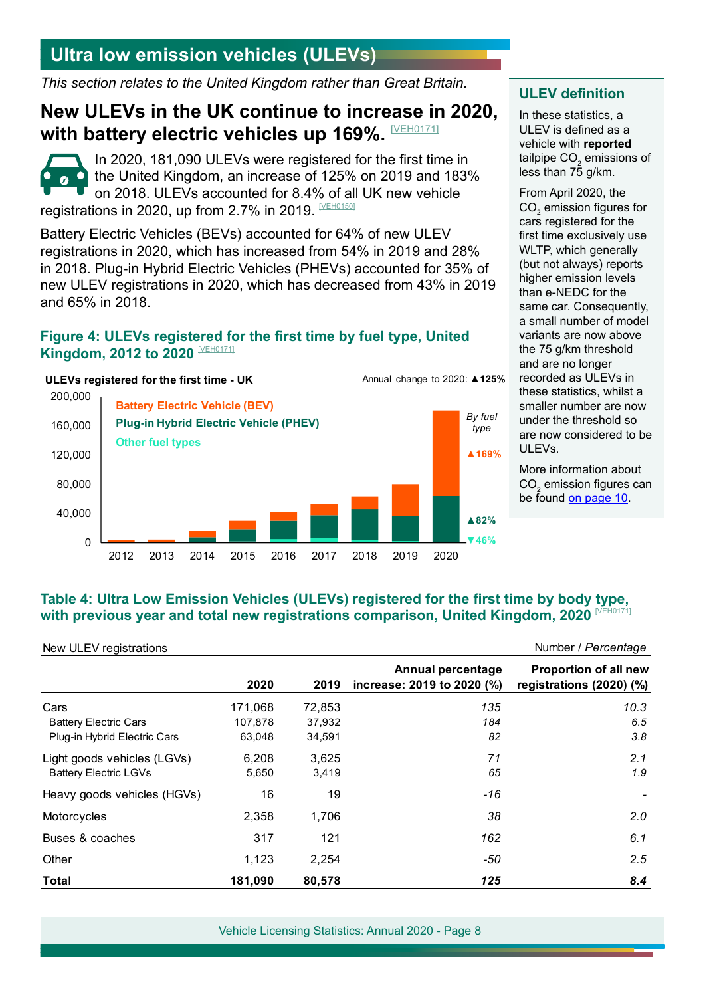# <span id="page-7-0"></span>**Ultra low emission vehicles (ULEVs)**

*This section relates to the United Kingdom rather than Great Britain.*

# **New ULEVs in the UK continue to increase in 2020,**  With battery electric vehicles up 169%. MEHO1711

In 2020, 181,090 ULEVs were registered for the first time in the United Kingdom, an increase of 125% on 2019 and 183% on 2018. ULEVs accounted for 8.4% of all UK new vehicle registrations in 2020, up from 2.7% in 2019. [\[VEH0150\]](https://www.gov.uk/government/statistical-data-sets/all-vehicles-veh01#registered-for-the-first-time)

Battery Electric Vehicles (BEVs) accounted for 64% of new ULEV registrations in 2020, which has increased from 54% in 2019 and 28% in 2018. Plug-in Hybrid Electric Vehicles (PHEVs) accounted for 35% of new ULEV registrations in 2020, which has decreased from 43% in 2019 and 65% in 2018.

### **Figure 4: ULEVs registered for the frst time by fuel type, United Kingdom, 2012 to 2020 MEH0171**



**ULEV defnition**

In these statistics, a ULEV is defned as a vehicle with **reported** tailpipe  $\mathsf{CO}_2$  emissions of less than 75 g/km.

From April 2020, the  $\mathsf{CO}_2$  emission figures for cars registered for the first time exclusively use WLTP, which generally (but not always) reports higher emission levels than e-NEDC for the same car. Consequently, a small number of model variants are now above the 75 g/km threshold and are no longer recorded as ULEVs in these statistics, whilst a smaller number are now under the threshold so are now considered to be ULEVs.

More information about  $\mathsf{CO}_2$  emission figures can be found [on page 10](#page-9-0).

### **Table 4: Ultra Low Emission Vehicles (ULEVs) registered for the frst time by body type,**  with previous year and total new registrations comparison, United Kingdom, 2020 **MEHO171**

| New ULEV registrations                                               |                              |                            |                                                        | Number / Percentage                                           |
|----------------------------------------------------------------------|------------------------------|----------------------------|--------------------------------------------------------|---------------------------------------------------------------|
|                                                                      | 2020                         | 2019                       | <b>Annual percentage</b><br>increase: 2019 to 2020 (%) | <b>Proportion of all new</b><br>registrations $(2020)$ $(\%)$ |
| Cars<br><b>Battery Electric Cars</b><br>Plug-in Hybrid Electric Cars | 171,068<br>107,878<br>63,048 | 72,853<br>37,932<br>34,591 | 135<br>184<br>82                                       | 10.3<br>6.5<br>3.8                                            |
| Light goods vehicles (LGVs)<br><b>Battery Electric LGVs</b>          | 6,208<br>5,650               | 3,625<br>3,419             | 71<br>65                                               | 2.1<br>1.9                                                    |
| Heavy goods vehicles (HGVs)                                          | 16                           | 19                         | $-16$                                                  |                                                               |
| Motorcycles                                                          | 2,358                        | 1,706                      | 38                                                     | 2.0                                                           |
| Buses & coaches                                                      | 317                          | 121                        | 162                                                    | 6.1                                                           |
| Other                                                                | 1,123                        | 2,254                      | -50                                                    | 2.5                                                           |
| Total                                                                | 181,090                      | 80,578                     | 125                                                    | 8.4                                                           |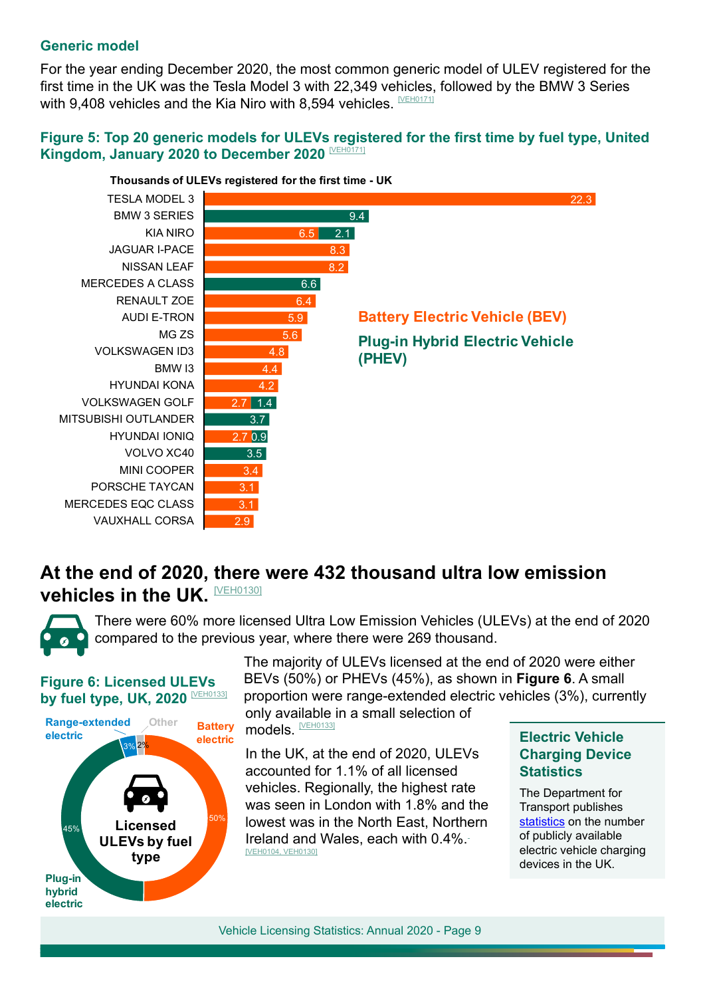### **Generic model**

For the year ending December 2020, the most common generic model of ULEV registered for the frst time in the UK was the Tesla Model 3 with 22,349 vehicles, followed by the BMW 3 Series with 9,408 vehicles and the Kia Niro with 8,594 vehicles.  $N \text{ EHO1711}$ 

# Figure 5: Top 20 generic models for ULEVs registered for the first time by fuel type, United **Kingdom, January 2020 to December 2020 [\[VEH0171\]](https://www.gov.uk/government/statistical-data-sets/all-vehicles-veh01#ultra-low-emissions-vehicles-ulevs)**



# **At the end of 2020, there were 432 thousand ultra low emission vehicles in the UK. [\[VEH0130\]](https://www.gov.uk/government/statistical-data-sets/all-vehicles-veh01#ultra-low-emissions-vehicles-ulevs)**



There were 60% more licensed Ultra Low Emission Vehicles (ULEVs) at the end of 2020 compared to the previous year, where there were 269 thousand.

**Figure 6: Licensed ULEVs by fuel type, UK, 2020 MEH0133** 



The majority of ULEVs licensed at the end of 2020 were either BEVs (50%) or PHEVs (45%), as shown in **Figure 6**. A small proportion were range-extended electric vehicles (3%), currently

only available in a small selection of models. **[\[VEH0133\]](https://www.gov.uk/government/statistical-data-sets/all-vehicles-veh01#ultra-low-emissions-vehicles-ulevs)** 

In the UK, at the end of 2020, ULEVs accounted for 1.1% of all licensed vehicles. Regionally, the highest rate was seen in London with 1.8% and the lowest was in the North East, Northern Ireland and Wales, each with 0.4%. [\[VEH0104, VEH0130\]](https://www.gov.uk/government/statistical-data-sets/all-vehicles-veh01)

### **electric Electric Vehicle Charging Device Statistics**

The Department for Transport publishes [statistics](https://www.gov.uk/government/collections/energy-and-environment-statistics) on the number of publicly available electric vehicle charging devices in the UK.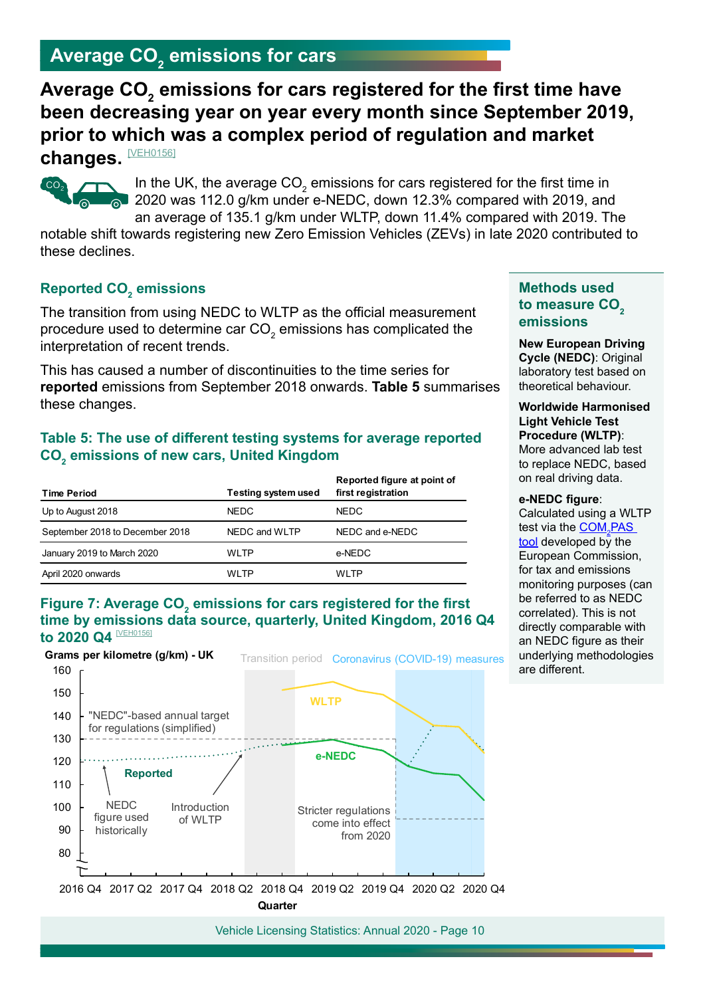# <span id="page-9-0"></span>Average CO<sub>2</sub> emissions for cars

# Average CO<sub>2</sub> emissions for cars registered for the first time have **been decreasing year on year every month since September 2019, prior to which was a complex period of regulation and market**

changes. **VEH0156** 



In the UK, the average CO $_{\textrm{\tiny{2}}}$  emissions for cars registered for the first time in 2020 was 112.0 g/km under e-NEDC, down 12.3% compared with 2019, and an average of 135.1 g/km under WLTP, down 11.4% compared with 2019. The

notable shift towards registering new Zero Emission Vehicles (ZEVs) in late 2020 contributed to these declines.

# **Reported CO2 emissions**

The transition from using NEDC to WLTP as the official measurement procedure used to determine car CO $_2$  emissions has complicated the interpretation of recent trends.

This has caused a number of discontinuities to the time series for **reported** emissions from September 2018 onwards. **Table 5** summarises these changes.

### **Table 5: The use of diferent testing systems for average reported CO2 emissions of new cars, United Kingdom**

| <b>Time Period</b>              | <b>Testing system used</b> | Reported figure at point of<br>first registration |
|---------------------------------|----------------------------|---------------------------------------------------|
| Up to August 2018               | <b>NEDC</b>                | <b>NEDC</b>                                       |
| September 2018 to December 2018 | NEDC and WLTP              | NEDC and e-NEDC                                   |
| January 2019 to March 2020      | <b>WLTP</b>                | e-NEDC                                            |
| April 2020 onwards              | WI TP                      | WI TP                                             |

#### Figure 7: Average CO<sub>2</sub> emissions for cars registered for the first **time by emissions data source, quarterly, United Kingdom, 2016 Q4 to 2020 Q4** [\[VEH0](https://www.gov.uk/government/statistical-data-sets/all-vehicles-veh01#registered-for-the-first-time)156]



#### **Methods used**  to measure CO<sub>2</sub> **emissions**

**New European Driving Cycle (NEDC)**: Original laboratory test based on theoretical behaviour.

#### **Worldwide Harmonised Light Vehicle Test Procedure (WLTP)**: More advanced lab test to replace NEDC, based

on real driving data.

#### **e-NEDC fgure**:

Calculated using a WLTP test via the <u>COM<sub>2</sub>PAS</u> [tool](https://co2mpas.io/intro.html) developed by the European Commission, for tax and emissions monitoring purposes (can be referred to as NEDC correlated). This is not directly comparable with an NEDC figure as their underlying methodologies are diferent.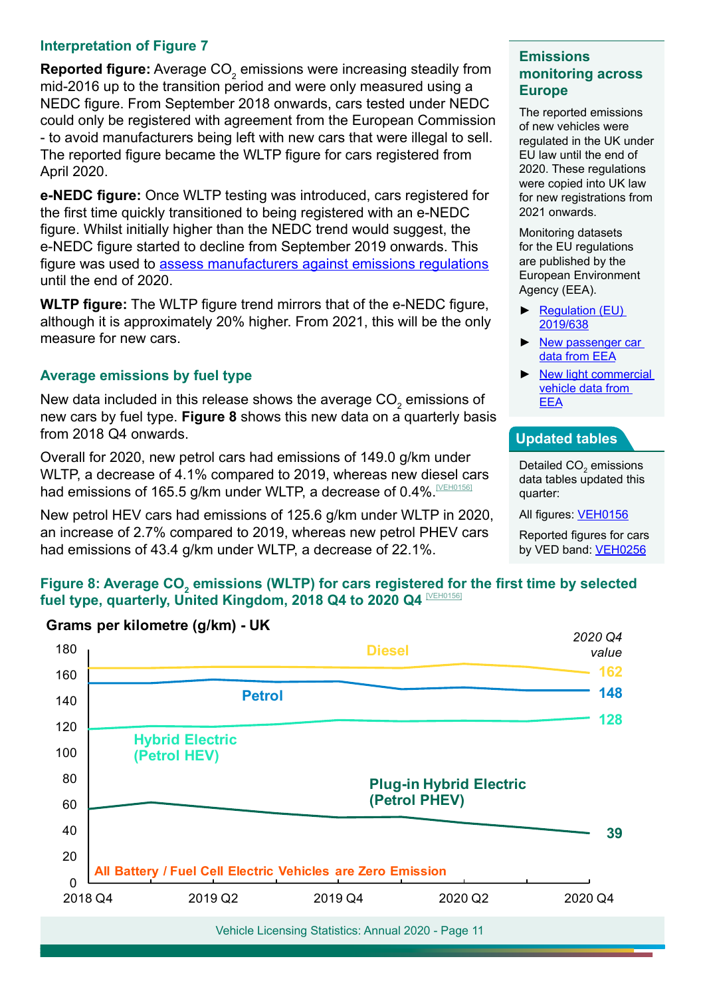### **Interpretation of Figure 7**

**Reported figure:** Average CO<sub>2</sub> emissions were increasing steadily from mid-2016 up to the transition period and were only measured using a NEDC fgure. From September 2018 onwards, cars tested under NEDC could only be registered with agreement from the European Commission - to avoid manufacturers being left with new cars that were illegal to sell. The reported figure became the WLTP figure for cars registered from April 2020.

**e-NEDC fgure:** Once WLTP testing was introduced, cars registered for the first time quickly transitioned to being registered with an e-NEDC fgure. Whilst initially higher than the NEDC trend would suggest, the e-NEDC fgure started to decline from September 2019 onwards. This figure was used to [assess manufacturers against emissions regulations](https://www.gov.uk/government/consultations/regulating-co2-emission-standards-for-new-cars-and-vans-after-transition/co2-emission-performance-standards-for-new-passenger-cars-and-light-commercial-vehicles) until the end of 2020.

**WLTP figure:** The WLTP figure trend mirrors that of the e-NEDC figure, although it is approximately 20% higher. From 2021, this will be the only measure for new cars.

#### **Average emissions by fuel type**

New data included in this release shows the average CO $_{\textrm{\tiny{2}}}$  emissions of new cars by fuel type. **Figure 8** shows this new data on a quarterly basis from 2018 Q4 onwards.

Overall for 2020, new petrol cars had emissions of 149.0 g/km under WLTP, a decrease of 4.1% compared to 2019, whereas new diesel cars had emissions of 165.5 g/km under WLTP, a decrease of 0.4%. [NEHO156]

New petrol HEV cars had emissions of 125.6 g/km under WLTP in 2020, an increase of 2.7% compared to 2019, whereas new petrol PHEV cars had emissions of 43.4 g/km under WLTP, a decrease of 22.1%.

### **Emissions monitoring across Europe**

The reported emissions of new vehicles were regulated in the UK under EU law until the end of 2020. These regulations were copied into UK law for new registrations from 2021 onwards.

Monitoring datasets for the EU regulations are published by the European Environment Agency (EEA).

- ► [Regulation \(EU\)](https://eur-lex.europa.eu/legal-content/GA/TXT/?uri=CELEX%3A32019D0638)  [2019/638](https://eur-lex.europa.eu/legal-content/GA/TXT/?uri=CELEX%3A32019D0638)
- New passenger car [data](https://www.eea.europa.eu/data-and-maps/data/co2-cars-emission-18) from EEA
- ► [New light commercial](https://www.eea.europa.eu/data-and-maps/data/vans-14)  [vehicle data from](https://www.eea.europa.eu/data-and-maps/data/vans-14)  [EEA](https://www.eea.europa.eu/data-and-maps/data/vans-14)

#### **Updated tables**

Detailed CO<sub>2</sub> emissions data tables updated this quarter:

All figures: [VEH0156](https://www.gov.uk/government/statistical-data-sets/all-vehicles-veh01#registered-for-the-first-time)

Reported figures for cars by VED band: [VEH0256](https://www.gov.uk/government/statistical-data-sets/veh02-licensed-cars#registered-for-the-first-time)

### **Figure 8: Average CO<sup>2</sup> emissions (WLTP) for cars registered for the frst time by selected**  fuel type, quarterly, United Kingdom, 2018 Q4 to 2020 Q4 **MEH0156]**



#### **Grams per kilometre (g/km) - UK**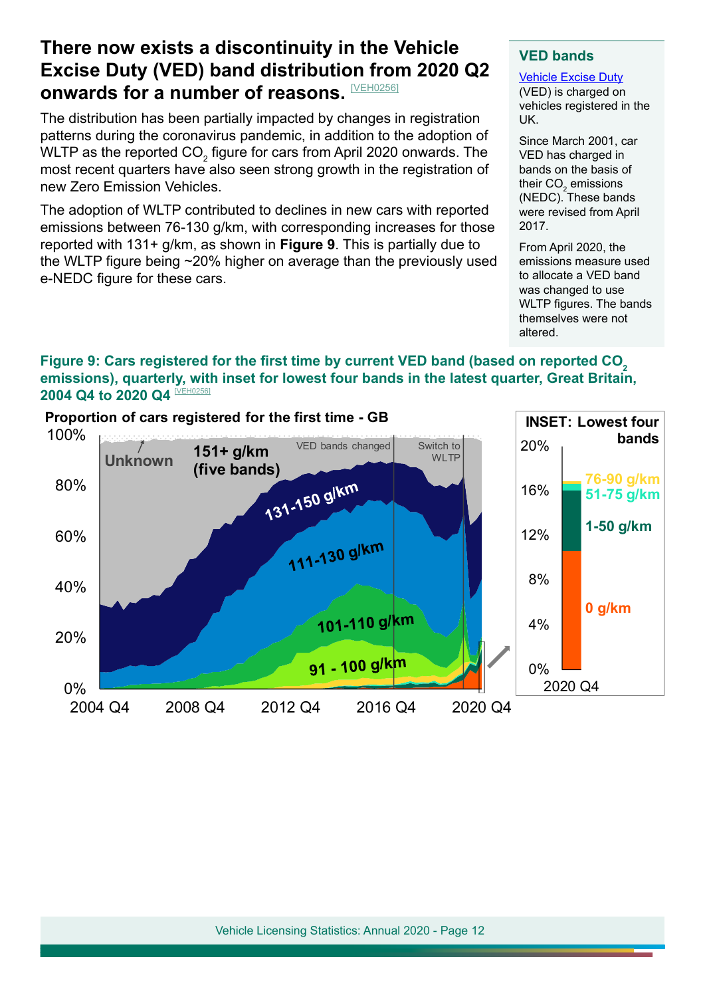# **There now exists a discontinuity in the Vehicle Excise Duty (VED) band distribution from 2020 Q2 onwards for a number of reasons. [NEH0256]**

The distribution has been partially impacted by changes in registration patterns during the coronavirus pandemic, in addition to the adoption of WLTP as the reported CO $_{\textrm{\tiny{2}}}$  figure for cars from April 2020 onwards. The most recent quarters have also seen strong growth in the registration of new Zero Emission Vehicles.

The adoption of WLTP contributed to declines in new cars with reported emissions between 76-130 g/km, with corresponding increases for those reported with 131+ g/km, as shown in **Figure 9**. This is partially due to the WLTP figure being  $\sim$ 20% higher on average than the previously used e-NEDC figure for these cars.

#### **VED bands**

#### [Vehicle Excise Duty](https://www.gov.uk/vehicle-tax-rate-tables)

(VED) is charged on vehicles registered in the UK.

Since March 2001, car VED has charged in bands on the basis of their CO $_{\textrm{\tiny{2}}}$  emissions (NEDC). These bands were revised from April 2017.

From April 2020, the emissions measure used to allocate a VED band was changed to use WLTP figures. The bands themselves were not altered.

### Figure 9: Cars registered for the first time by current VED band (based on reported CO<sub>2</sub> **emissions), quarterly, with inset for lowest four bands in the latest quarter, Great Britain, 2004 Q4 to 2020 Q4**  $\overline{M}$

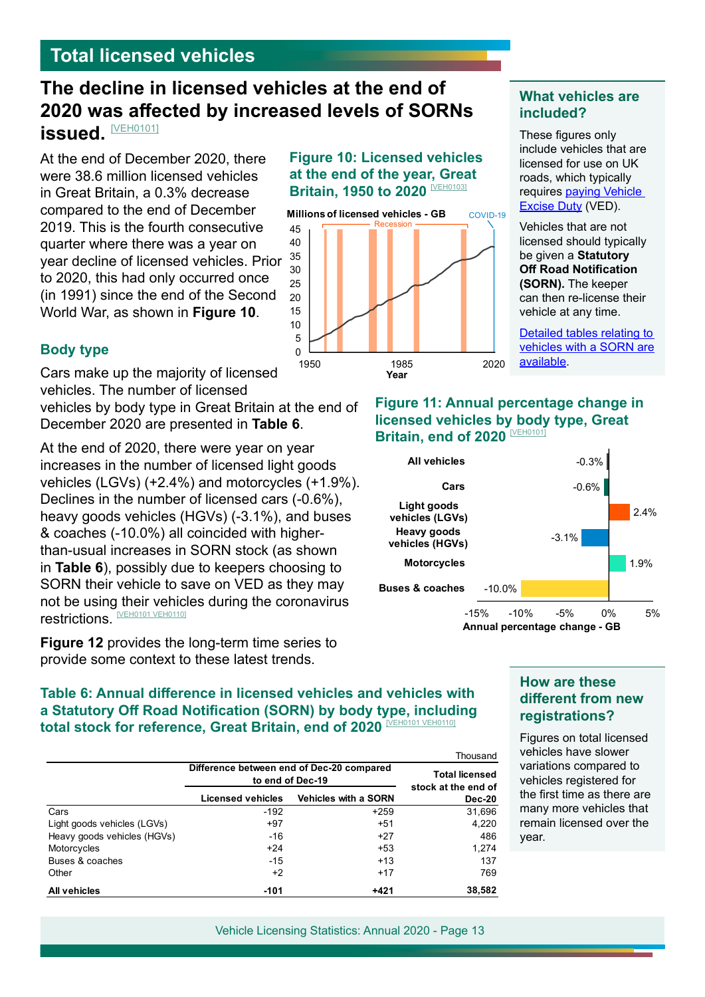# <span id="page-12-0"></span>**Total licensed vehicles**

# **The decline in licensed vehicles at the end of 2020 was afected by increased levels of SORNs issued. MEH0101**

At the end of December 2020, there were 38.6 million licensed vehicles in Great Britain, a 0.3% decrease compared to the end of December 2019. This is the fourth consecutive quarter where there was a year on year decline of licensed vehicles. Prior to 2020, this had only occurred once (in 1991) since the end of the Second World War, as shown in **Figure 10**.

#### **Figure 10: Licensed vehicles at the end of the year, Great Britain, 1950 to 2020** MEHO103]



#### **What vehicles are included?**

These figures only include vehicles that are licensed for use on UK roads, which typically requires [paying Vehicle](https://www.gov.uk/calculate-vehicle-tax-rates)  [Excise Duty](https://www.gov.uk/calculate-vehicle-tax-rates) (VED).

Vehicles that are not licensed should typically be given a **Statutory Off Road Notification (SORN).** The keeper can then re-license their vehicle at any time.

[Detailed tables relating to](https://www.gov.uk/government/statistical-data-sets/all-vehicles-veh01#statutory-off-road-notification-vehicles-sorn)  [vehicles with a SORN are](https://www.gov.uk/government/statistical-data-sets/all-vehicles-veh01#statutory-off-road-notification-vehicles-sorn)  [available](https://www.gov.uk/government/statistical-data-sets/all-vehicles-veh01#statutory-off-road-notification-vehicles-sorn).

### **Body type**

Cars make up the majority of licensed vehicles. The number of licensed

vehicles by body type in Great Britain at the end of December 2020 are presented in **Table 6**.

At the end of 2020, there were year on year increases in the number of licensed light goods vehicles (LGVs) (+2.4%) and motorcycles (+1.9%). Declines in the number of licensed cars (-0.6%), heavy goods vehicles (HGVs) (-3.1%), and buses & coaches (-10.0%) all coincided with higherthan-usual increases in SORN stock (as shown in **Table 6**), possibly due to keepers choosing to SORN their vehicle to save on VED as they may not be using their vehicles during the coronavirus restrictions. [\[VEH0101 VEH0110\]](https://www.gov.uk/government/statistical-data-sets/all-vehicles-veh01#licensed-vehicles)

**Figure 12** provides the long-term time series to provide some context to these latest trends.

# **Figure 11: Annual percentage change in licensed vehicles by body type, Great Britain, end of 2020 MEH0101**



### **Table 6: Annual diference in licensed vehicles and vehicles with a Statutory Of Road Notifcation (SORN) by body type, including total stock for reference, Great Britain, end of 2020 MEH0101 VEH0110**

|                             |                                                               |                             | Thousand                      |
|-----------------------------|---------------------------------------------------------------|-----------------------------|-------------------------------|
|                             | Difference between end of Dec-20 compared<br>to end of Dec-19 | <b>Total licensed</b>       |                               |
|                             | <b>Licensed vehicles</b>                                      | <b>Vehicles with a SORN</b> | stock at the end of<br>Dec-20 |
| Cars                        | $-192$                                                        | $+259$                      | 31,696                        |
| Light goods vehicles (LGVs) | $+97$                                                         | $+51$                       | 4,220                         |
| Heavy goods vehicles (HGVs) | $-16$                                                         | $+27$                       | 486                           |
| Motorcycles                 | $+24$                                                         | $+53$                       | 1,274                         |
| Buses & coaches             | $-15$                                                         | $+13$                       | 137                           |
| Other                       | $+2$                                                          | $+17$                       | 769                           |
| All vehicles                | -101                                                          | $+421$                      | 38,582                        |

### **How are these diferent from new registrations?**

Figures on total licensed vehicles have slower variations compared to vehicles registered for the first time as there are many more vehicles that remain licensed over the year.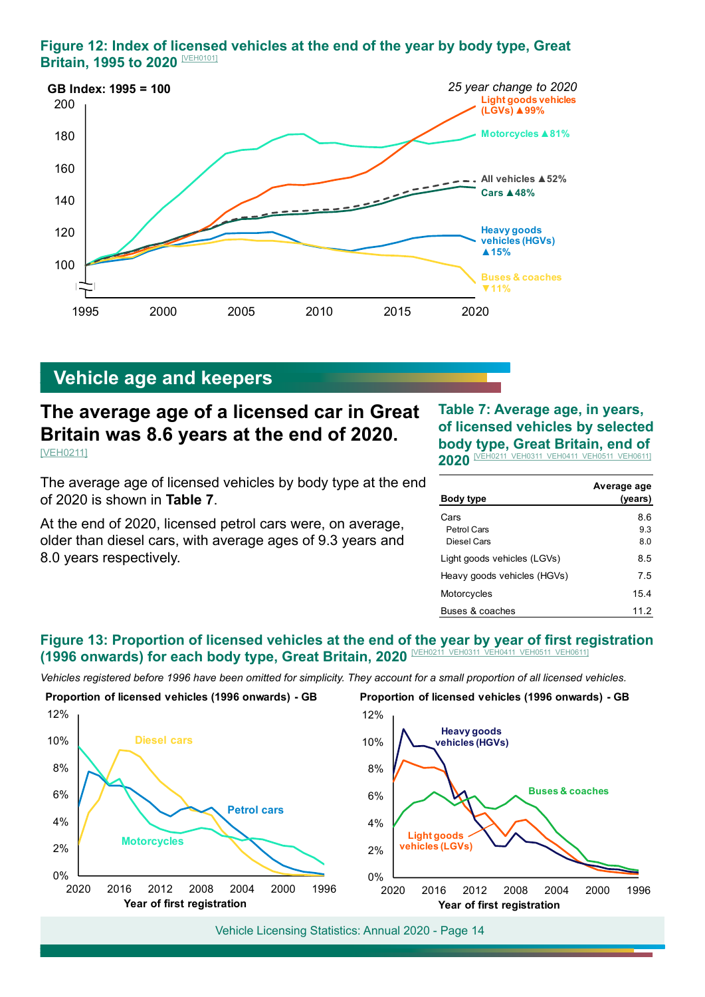#### <span id="page-13-0"></span>**Figure 12: Index of licensed vehicles at the end of the year by body type, Great Britain, 1995 to 2020** MEHO101]



# **Vehicle age and keepers**

# **The average age of a licensed car in Great Britain was 8.6 years at the end of 2020.**  [\[VEH0211\]](https://www.gov.uk/government/statistical-data-sets/veh02-licensed-cars#licensed-vehicles)

The average age of licensed vehicles by body type at the end of 2020 is shown in **Table 7**.

At the end of 2020, licensed petrol cars were, on average, older than diesel cars, with average ages of 9.3 years and 8.0 years respectively.

**Table 7: Average age, in years, of licensed vehicles by selected body type, Great Britain, end of 2020 IVEH0211 VEH0311 VEH0411 VEH0511 VEH0611** 

| <b>Body type</b>                   | Average age<br>(years) |
|------------------------------------|------------------------|
| Cars<br>Petrol Cars<br>Diesel Cars | 8.6<br>9.3<br>8.0      |
| Light goods vehicles (LGVs)        | 8.5                    |
| Heavy goods vehicles (HGVs)        | 75                     |
| Motorcycles                        | 154                    |
| Buses & coaches                    | 11.2                   |

### **Figure 13: Proportion of licensed vehicles at the end of the year by year of frst registration (1996 onwards) for each body type, Great Britain, 2020 MEHO211** VEH0311 VEH0511 VEH0611]

*Vehicles registered before 1996 have been omitted for simplicity. They account for a small proportion of all licensed vehicles.*

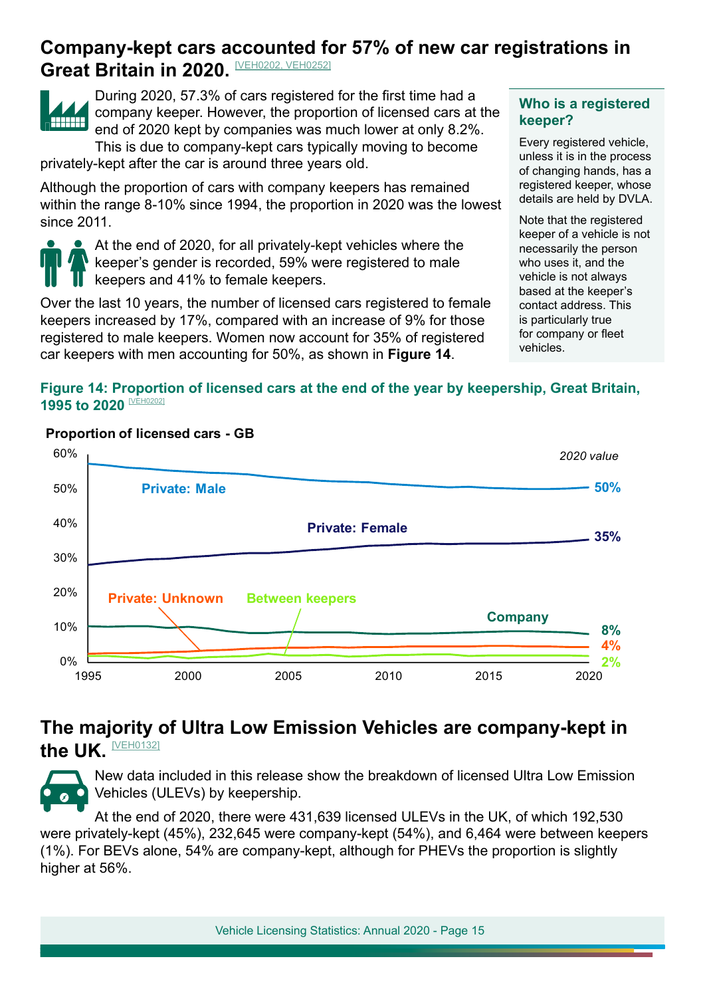# **Company-kept cars accounted for 57% of new car registrations in Great Britain in 2020. MEH0202, VEH0252**



During 2020, 57.3% of cars registered for the first time had a company keeper. However, the proportion of licensed cars at the end of 2020 kept by companies was much lower at only 8.2%. This is due to company-kept cars typically moving to become

privately-kept after the car is around three years old.

Although the proportion of cars with company keepers has remained within the range 8-10% since 1994, the proportion in 2020 was the lowest since 2011.

 $\bullet$ 

At the end of 2020, for all privately-kept vehicles where the keeper's gender is recorded, 59% were registered to male  $\blacksquare$  keepers and 41% to female keepers.

Over the last 10 years, the number of licensed cars registered to female keepers increased by 17%, compared with an increase of 9% for those registered to male keepers. Women now account for 35% of registered car keepers with men accounting for 50%, as shown in **Figure 14**.

#### **Who is a registered keeper?**

Every registered vehicle, unless it is in the process of changing hands, has a registered keeper, whose details are held by DVLA.

Note that the registered keeper of a vehicle is not necessarily the person who uses it, and the vehicle is not always based at the keeper's contact address. This is particularly true for company or fleet vehicles.

### **Figure 14: Proportion of licensed cars at the end of the year by keepership, Great Britain, 1995 to 2020 MEH02021**



#### **Proportion of licensed cars - GB**

# **The majority of Ultra Low Emission Vehicles are company-kept in the UK. [\[VEH0132\]](https://www.gov.uk/government/statistical-data-sets/all-vehicles-veh01#ultra-low-emissions-vehicles-ulevs)**

New data included in this release show the breakdown of licensed Ultra Low Emission **O** Vehicles (ULEVs) by keepership.

At the end of 2020, there were 431,639 licensed ULEVs in the UK, of which 192,530 were privately-kept (45%), 232,645 were company-kept (54%), and 6,464 were between keepers (1%). For BEVs alone, 54% are company-kept, although for PHEVs the proportion is slightly higher at 56%.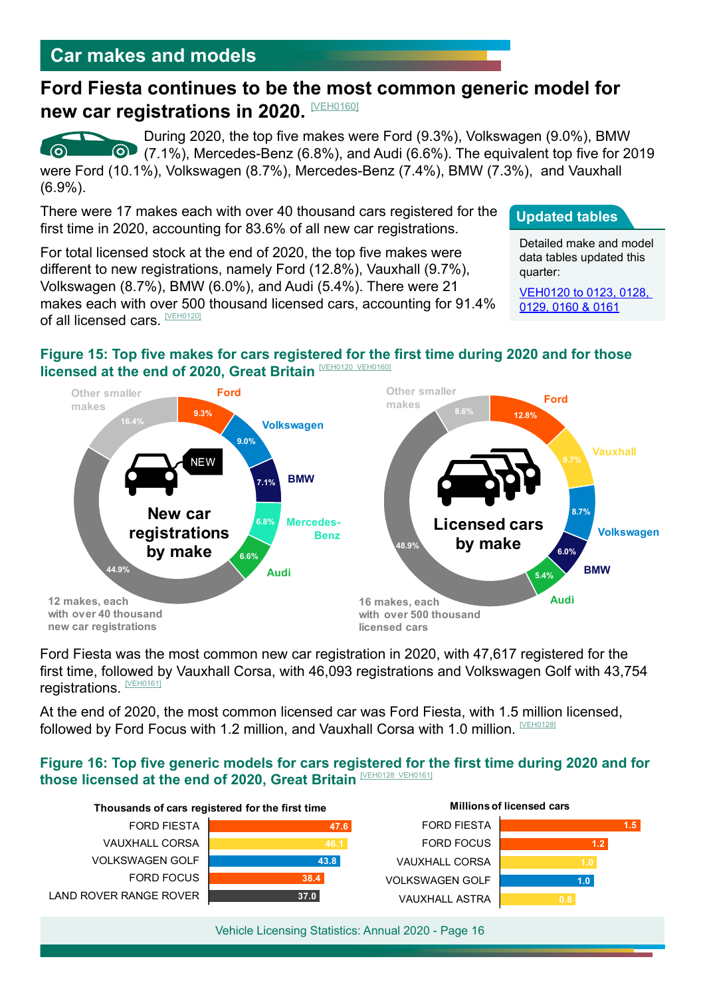# <span id="page-15-0"></span>**Car makes and models**

of all licensed cars. [\[VEH0120\]](https://www.gov.uk/government/statistical-data-sets/all-vehicles-veh01#licensed-vehicles)

# **Ford Fiesta continues to be the most common generic model for new car registrations in 2020. MEHO160]**

During 2020, the top five makes were Ford (9.3%), Volkswagen (9.0%), BMW  $\odot$  $\textcircled{\textcolor{blue}{\bullet}}$  (7.1%), Mercedes-Benz (6.8%), and Audi (6.6%). The equivalent top five for 2019 were Ford (10.1%), Volkswagen (8.7%), Mercedes-Benz (7.4%), BMW (7.3%), and Vauxhall (6.9%).

There were 17 makes each with over 40 thousand cars registered for the frst time in 2020, accounting for 83.6% of all new car registrations.

makes each with over 500 thousand licensed cars, accounting for 91.4%

For total licensed stock at the end of 2020, the top five makes were diferent to new registrations, namely Ford (12.8%), Vauxhall (9.7%), Volkswagen (8.7%), BMW (6.0%), and Audi (5.4%). There were 21

**Updated tables**

Detailed make and model data tables updated this quarter:

[VEH0120 to 0123, 0128,](https://www.gov.uk/government/statistical-data-sets/all-vehicles-veh01)  [0129, 0160 & 0161](https://www.gov.uk/government/statistical-data-sets/all-vehicles-veh01)

### Figure 15: Top five makes for cars registered for the first time during 2020 and for those **licensed at the end of 2020, Great Britain MEHO120 VEH0160]**



Ford Fiesta was the most common new car registration in 2020, with 47,617 registered for the frst time, followed by Vauxhall Corsa, with 46,093 registrations and Volkswagen Golf with 43,754 registrations. [\[VEH0161\]](https://www.gov.uk/government/statistical-data-sets/all-vehicles-veh01#registered-for-the-first-time)

At the end of 2020, the most common licensed car was Ford Fiesta, with 1.5 million licensed, followed by Ford Focus with 1.2 million, and Vauxhall Corsa with 1.0 million. [NEHO128]

#### Figure 16: Top five generic models for cars registered for the first time during 2020 and for **those licensed at the end of 2020, Great Britain MEHO128 VEHO161]**

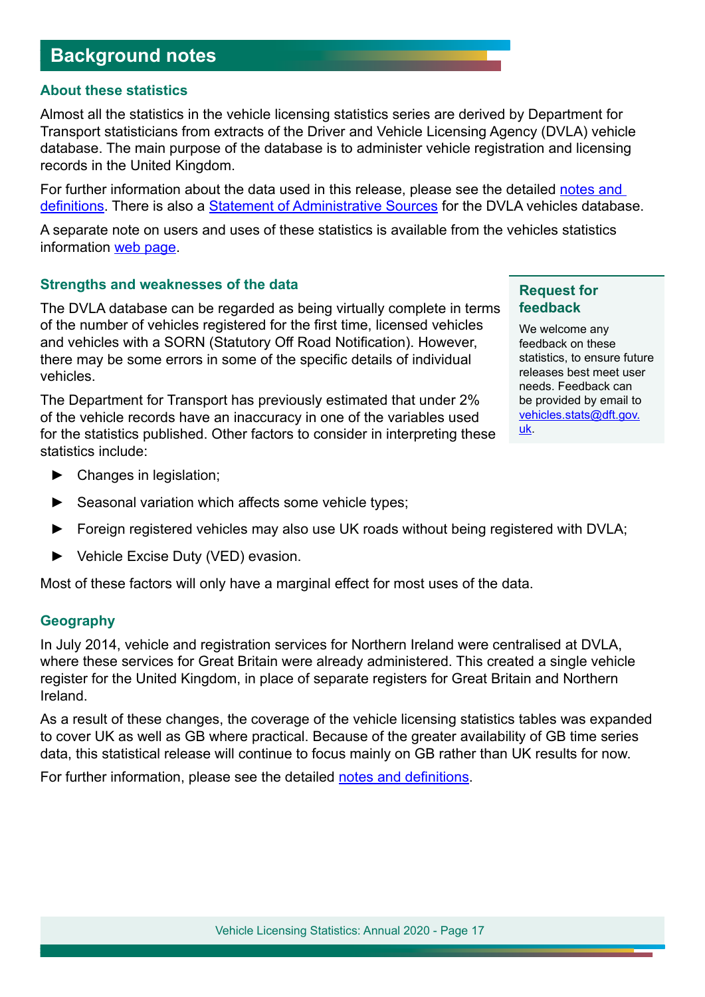# <span id="page-16-0"></span>**Background notes**

#### **About these statistics**

Almost all the statistics in the vehicle licensing statistics series are derived by Department for Transport statisticians from extracts of the Driver and Vehicle Licensing Agency (DVLA) vehicle database. The main purpose of the database is to administer vehicle registration and licensing records in the United Kingdom.

For further information about the data used in this release, please see the detailed notes and definitions. There is also a [Statement of Administrative Sources](https://www.gov.uk/government/publications/statement-of-administrative-sources-for-official-statistics-published-by-the-department-for-transport) for the DVLA vehicles database.

A separate note on users and uses of these statistics is available from the vehicles statistics information [web page.](https://www.gov.uk/government/publications/vehicles-statistics-guidance)

#### **Strengths and weaknesses of the data**

The DVLA database can be regarded as being virtually complete in terms of the number of vehicles registered for the frst time, licensed vehicles and vehicles with a SORN (Statutory Of Road Notifcation). However, there may be some errors in some of the specific details of individual vehicles.

The Department for Transport has previously estimated that under 2% of the vehicle records have an inaccuracy in one of the variables used for the statistics published. Other factors to consider in interpreting these statistics include:

- ► Changes in legislation;
- ► Seasonal variation which afects some vehicle types;
- ► Foreign registered vehicles may also use UK roads without being registered with DVLA;
- ► Vehicle Excise Duty (VED) evasion.

Most of these factors will only have a marginal efect for most uses of the data.

#### **Geography**

In July 2014, vehicle and registration services for Northern Ireland were centralised at DVLA, where these services for Great Britain were already administered. This created a single vehicle register for the United Kingdom, in place of separate registers for Great Britain and Northern Ireland.

As a result of these changes, the coverage of the vehicle licensing statistics tables was expanded to cover UK as well as GB where practical. Because of the greater availability of GB time series data, this statistical release will continue to focus mainly on GB rather than UK results for now.

For further information, please see the detailed [notes and defnitions](https://www.gov.uk/government/publications/vehicles-statistics-guidance).

#### **Request for feedback**

We welcome any feedback on these statistics, to ensure future releases best meet user needs. Feedback can be provided by email to [vehicles.stats@dft.gov.](mailto:vehicles.stats%40dft.gov.uk?subject=) [uk](mailto:vehicles.stats%40dft.gov.uk?subject=).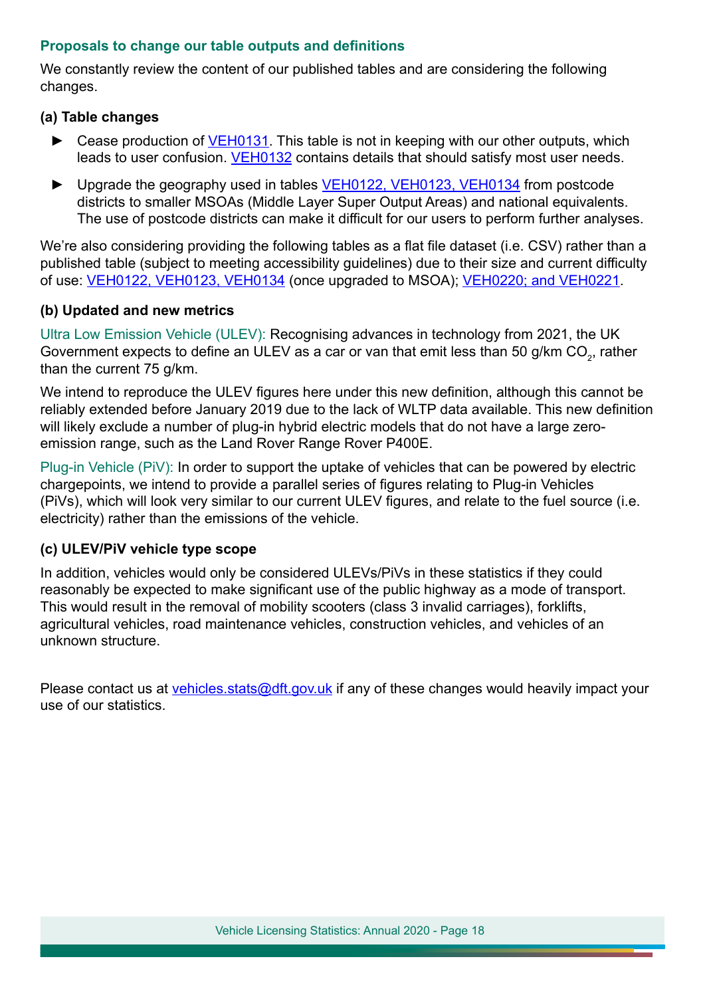### **Proposals to change our table outputs and defnitions**

We constantly review the content of our published tables and are considering the following changes.

### **(a) Table changes**

- ► Cease production of [VEH0131](https://www.gov.uk/government/statistical-data-sets/all-vehicles-veh01#ultra-low-emissions-vehicles-ulevs). This table is not in keeping with our other outputs, which leads to user confusion. [VEH0132](https://www.gov.uk/government/statistical-data-sets/all-vehicles-veh01#ultra-low-emissions-vehicles-ulevs) contains details that should satisfy most user needs.
- ► Upgrade the geography used in tables [VEH0122, VEH0123, VEH0134](https://www.gov.uk/government/statistical-data-sets/all-vehicles-veh01) from postcode districts to smaller MSOAs (Middle Layer Super Output Areas) and national equivalents. The use of postcode districts can make it difficult for our users to perform further analyses.

We're also considering providing the following tables as a flat file dataset (i.e. CSV) rather than a published table (subject to meeting accessibility guidelines) due to their size and current difficulty of use: [VEH0122, VEH0123, VEH0134](https://www.gov.uk/government/statistical-data-sets/all-vehicles-veh01) (once upgraded to MSOA); [VEH0220; and VEH0221.](https://www.gov.uk/government/statistical-data-sets/veh02-licensed-cars#licensed-vehicles)

### **(b) Updated and new metrics**

Ultra Low Emission Vehicle (ULEV): Recognising advances in technology from 2021, the UK Government expects to define an ULEV as a car or van that emit less than 50 g/km CO<sub>2</sub>, rather than the current 75 g/km.

We intend to reproduce the ULEV figures here under this new definition, although this cannot be reliably extended before January 2019 due to the lack of WLTP data available. This new defnition will likely exclude a number of plug-in hybrid electric models that do not have a large zeroemission range, such as the Land Rover Range Rover P400E.

Plug-in Vehicle (PiV): In order to support the uptake of vehicles that can be powered by electric chargepoints, we intend to provide a parallel series of figures relating to Plug-in Vehicles (PiVs), which will look very similar to our current ULEV figures, and relate to the fuel source (i.e. electricity) rather than the emissions of the vehicle.

### **(c) ULEV/PiV vehicle type scope**

In addition, vehicles would only be considered ULEVs/PiVs in these statistics if they could reasonably be expected to make significant use of the public highway as a mode of transport. This would result in the removal of mobility scooters (class 3 invalid carriages), forklifts, agricultural vehicles, road maintenance vehicles, construction vehicles, and vehicles of an unknown structure.

Please contact us at vehicles stats@dft.gov.uk if any of these changes would heavily impact your use of our statistics.